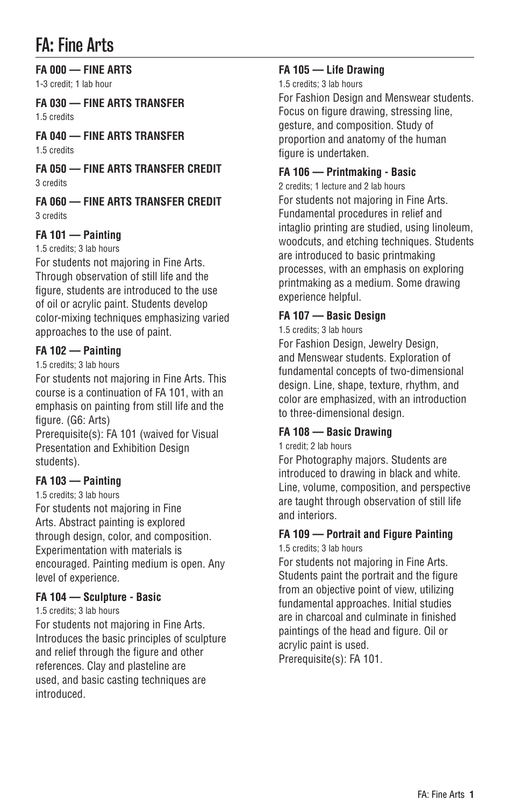# FA: Fine Arts

**FA 000 — FINE ARTS** 1-3 credit; 1 lab hour

**FA 030 — FINE ARTS TRANSFER** 1.5 credits

**FA 040 — FINE ARTS TRANSFER** 1.5 credits

**FA 050 — FINE ARTS TRANSFER CREDIT** 3 credits

**FA 060 — FINE ARTS TRANSFER CREDIT** 3 credits

### **FA 101 — Painting**

1.5 credits; 3 lab hours

For students not majoring in Fine Arts. Through observation of still life and the figure, students are introduced to the use of oil or acrylic paint. Students develop color-mixing techniques emphasizing varied approaches to the use of paint.

#### **FA 102 — Painting**

1.5 credits; 3 lab hours

For students not majoring in Fine Arts. This course is a continuation of FA 101, with an emphasis on painting from still life and the figure. (G6: Arts)

Prerequisite(s): FA 101 (waived for Visual Presentation and Exhibition Design students).

### **FA 103 — Painting**

1.5 credits; 3 lab hours For students not majoring in Fine Arts. Abstract painting is explored through design, color, and composition. Experimentation with materials is encouraged. Painting medium is open. Any level of experience.

### **FA 104 — Sculpture - Basic**

1.5 credits; 3 lab hours

For students not majoring in Fine Arts. Introduces the basic principles of sculpture and relief through the figure and other references. Clay and plasteline are used, and basic casting techniques are introduced.

### **FA 105 — Life Drawing**

1.5 credits; 3 lab hours

For Fashion Design and Menswear students. Focus on figure drawing, stressing line, gesture, and composition. Study of proportion and anatomy of the human figure is undertaken.

### **FA 106 — Printmaking - Basic**

2 credits; 1 lecture and 2 lab hours For students not majoring in Fine Arts. Fundamental procedures in relief and intaglio printing are studied, using linoleum, woodcuts, and etching techniques. Students are introduced to basic printmaking processes, with an emphasis on exploring printmaking as a medium. Some drawing experience helpful.

### **FA 107 — Basic Design**

1.5 credits; 3 lab hours

For Fashion Design, Jewelry Design, and Menswear students. Exploration of fundamental concepts of two-dimensional design. Line, shape, texture, rhythm, and color are emphasized, with an introduction to three-dimensional design.

### **FA 108 — Basic Drawing**

1 credit; 2 lab hours

For Photography majors. Students are introduced to drawing in black and white. Line, volume, composition, and perspective are taught through observation of still life and interiors.

### **FA 109 — Portrait and Figure Painting**

1.5 credits; 3 lab hours

For students not majoring in Fine Arts. Students paint the portrait and the figure from an objective point of view, utilizing fundamental approaches. Initial studies are in charcoal and culminate in finished paintings of the head and figure. Oil or acrylic paint is used. Prerequisite(s): FA 101.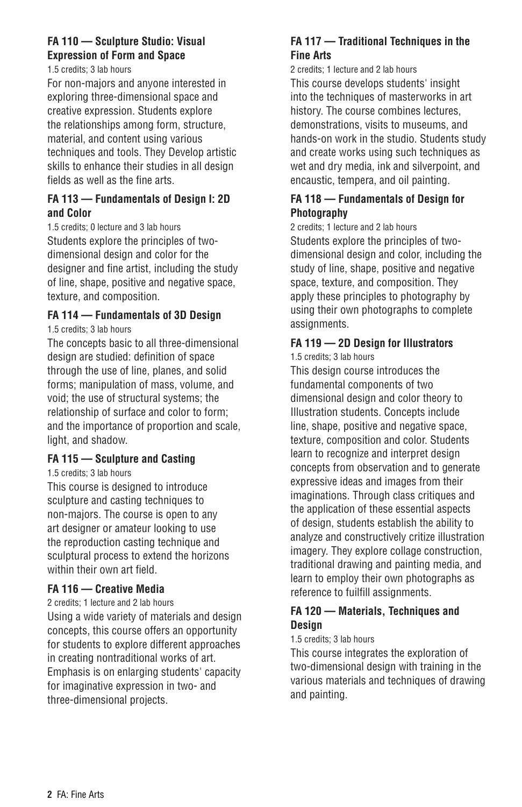### **FA 110 — Sculpture Studio: Visual Expression of Form and Space**

1.5 credits; 3 lab hours

For non-majors and anyone interested in exploring three-dimensional space and creative expression. Students explore the relationships among form, structure, material, and content using various techniques and tools. They Develop artistic skills to enhance their studies in all design fields as well as the fine arts.

#### **FA 113 — Fundamentals of Design I: 2D and Color**

1.5 credits; 0 lecture and 3 lab hours Students explore the principles of twodimensional design and color for the designer and fine artist, including the study of line, shape, positive and negative space, texture, and composition.

### **FA 114 — Fundamentals of 3D Design**

1.5 credits; 3 lab hours

The concepts basic to all three-dimensional design are studied: definition of space through the use of line, planes, and solid forms; manipulation of mass, volume, and void; the use of structural systems; the relationship of surface and color to form; and the importance of proportion and scale, light, and shadow.

#### **FA 115 — Sculpture and Casting**

1.5 credits; 3 lab hours

This course is designed to introduce sculpture and casting techniques to non-majors. The course is open to any art designer or amateur looking to use the reproduction casting technique and sculptural process to extend the horizons within their own art field.

### **FA 116 — Creative Media**

2 credits; 1 lecture and 2 lab hours

Using a wide variety of materials and design concepts, this course offers an opportunity for students to explore different approaches in creating nontraditional works of art. Emphasis is on enlarging students' capacity for imaginative expression in two- and three-dimensional projects.

### **FA 117 — Traditional Techniques in the Fine Arts**

2 credits; 1 lecture and 2 lab hours This course develops students' insight into the techniques of masterworks in art history. The course combines lectures, demonstrations, visits to museums, and hands-on work in the studio. Students study and create works using such techniques as wet and dry media, ink and silverpoint, and encaustic, tempera, and oil painting.

#### **FA 118 — Fundamentals of Design for Photography**

2 credits; 1 lecture and 2 lab hours

Students explore the principles of twodimensional design and color, including the study of line, shape, positive and negative space, texture, and composition. They apply these principles to photography by using their own photographs to complete assignments.

### **FA 119 — 2D Design for Illustrators**

1.5 credits; 3 lab hours

This design course introduces the fundamental components of two dimensional design and color theory to Illustration students. Concepts include line, shape, positive and negative space, texture, composition and color. Students learn to recognize and interpret design concepts from observation and to generate expressive ideas and images from their imaginations. Through class critiques and the application of these essential aspects of design, students establish the ability to analyze and constructively critize illustration imagery. They explore collage construction, traditional drawing and painting media, and learn to employ their own photographs as reference to fuilfill assignments.

#### **FA 120 — Materials, Techniques and Design**

#### 1.5 credits; 3 lab hours

This course integrates the exploration of two-dimensional design with training in the various materials and techniques of drawing and painting.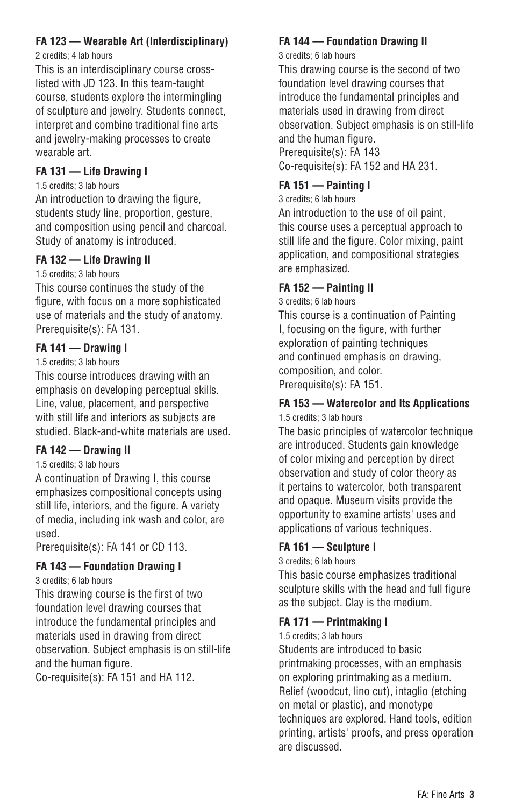### **FA 123 — Wearable Art (Interdisciplinary)**

2 credits; 4 lab hours

This is an interdisciplinary course crosslisted with JD 123. In this team-taught course, students explore the intermingling of sculpture and jewelry. Students connect, interpret and combine traditional fine arts and jewelry-making processes to create wearable art.

### **FA 131 — Life Drawing I**

1.5 credits; 3 lab hours

An introduction to drawing the figure, students study line, proportion, gesture, and composition using pencil and charcoal. Study of anatomy is introduced.

#### **FA 132 — Life Drawing II**

1.5 credits; 3 lab hours

This course continues the study of the figure, with focus on a more sophisticated use of materials and the study of anatomy. Prerequisite(s): FA 131.

### **FA 141 — Drawing I**

#### 1.5 credits; 3 lab hours

This course introduces drawing with an emphasis on developing perceptual skills. Line, value, placement, and perspective with still life and interiors as subjects are studied. Black-and-white materials are used.

### **FA 142 — Drawing II**

#### 1.5 credits; 3 lab hours

A continuation of Drawing I, this course emphasizes compositional concepts using still life, interiors, and the figure. A variety of media, including ink wash and color, are used.

Prerequisite(s): FA 141 or CD 113.

### **FA 143 — Foundation Drawing I**

3 credits; 6 lab hours

This drawing course is the first of two foundation level drawing courses that introduce the fundamental principles and materials used in drawing from direct observation. Subject emphasis is on still-life and the human figure.

Co-requisite(s): FA 151 and HA 112.

### **FA 144 — Foundation Drawing II**

#### 3 credits; 6 lab hours

This drawing course is the second of two foundation level drawing courses that introduce the fundamental principles and materials used in drawing from direct observation. Subject emphasis is on still-life and the human figure. Prerequisite(s): FA 143

Co-requisite(s): FA 152 and HA 231.

### **FA 151 — Painting I**

3 credits; 6 lab hours

An introduction to the use of oil paint, this course uses a perceptual approach to still life and the figure. Color mixing, paint application, and compositional strategies are emphasized.

### **FA 152 — Painting II**

3 credits; 6 lab hours

This course is a continuation of Painting I, focusing on the figure, with further exploration of painting techniques and continued emphasis on drawing, composition, and color. Prerequisite(s): FA 151.

### **FA 153 — Watercolor and Its Applications**

1.5 credits; 3 lab hours

The basic principles of watercolor technique are introduced. Students gain knowledge of color mixing and perception by direct observation and study of color theory as it pertains to watercolor, both transparent and opaque. Museum visits provide the opportunity to examine artists' uses and applications of various techniques.

#### **FA 161 — Sculpture I**

3 credits; 6 lab hours

This basic course emphasizes traditional sculpture skills with the head and full figure as the subject. Clay is the medium.

### **FA 171 — Printmaking I**

1.5 credits; 3 lab hours

Students are introduced to basic printmaking processes, with an emphasis on exploring printmaking as a medium. Relief (woodcut, lino cut), intaglio (etching on metal or plastic), and monotype techniques are explored. Hand tools, edition printing, artists' proofs, and press operation are discussed.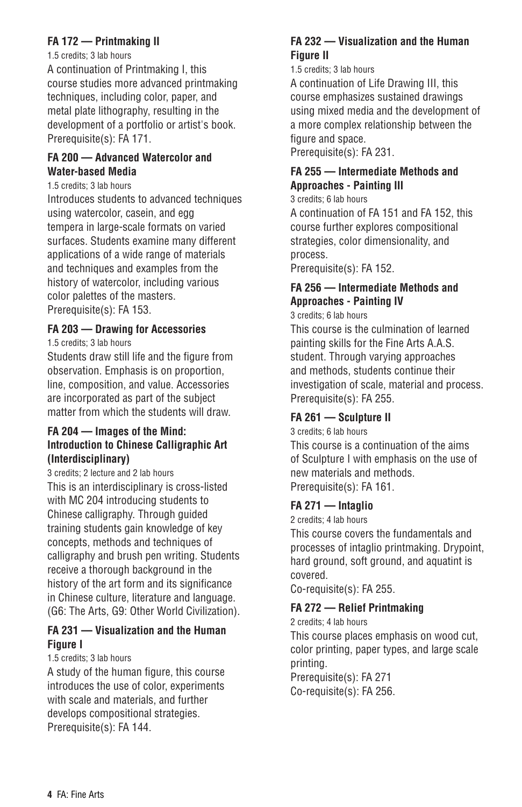### **FA 172 — Printmaking II**

#### 1.5 credits; 3 lab hours

A continuation of Printmaking I, this course studies more advanced printmaking techniques, including color, paper, and metal plate lithography, resulting in the development of a portfolio or artist's book. Prerequisite(s): FA 171.

#### **FA 200 — Advanced Watercolor and Water-based Media**

1.5 credits; 3 lab hours

Introduces students to advanced techniques using watercolor, casein, and egg tempera in large-scale formats on varied surfaces. Students examine many different applications of a wide range of materials and techniques and examples from the history of watercolor, including various color palettes of the masters. Prerequisite(s): FA 153.

### **FA 203 — Drawing for Accessories**

1.5 credits; 3 lab hours

Students draw still life and the figure from observation. Emphasis is on proportion, line, composition, and value. Accessories are incorporated as part of the subject matter from which the students will draw.

#### **FA 204 — Images of the Mind: Introduction to Chinese Calligraphic Art (Interdisciplinary)**

3 credits; 2 lecture and 2 lab hours This is an interdisciplinary is cross-listed with MC 204 introducing students to Chinese calligraphy. Through guided training students gain knowledge of key concepts, methods and techniques of calligraphy and brush pen writing. Students receive a thorough background in the history of the art form and its significance in Chinese culture, literature and language. (G6: The Arts, G9: Other World Civilization).

### **FA 231 — Visualization and the Human Figure I**

1.5 credits; 3 lab hours

A study of the human figure, this course introduces the use of color, experiments with scale and materials, and further develops compositional strategies. Prerequisite(s): FA 144.

#### **FA 232 — Visualization and the Human Figure II**

1.5 credits; 3 lab hours

A continuation of Life Drawing III, this course emphasizes sustained drawings using mixed media and the development of a more complex relationship between the figure and space. Prerequisite(s): FA 231.

### **FA 255 — Intermediate Methods and Approaches - Painting III**

3 credits; 6 lab hours

A continuation of FA 151 and FA 152, this course further explores compositional strategies, color dimensionality, and process.

Prerequisite(s): FA 152.

### **FA 256 — Intermediate Methods and Approaches - Painting IV**

3 credits; 6 lab hours

This course is the culmination of learned painting skills for the Fine Arts A.A.S. student. Through varying approaches and methods, students continue their investigation of scale, material and process. Prerequisite(s): FA 255.

### **FA 261 — Sculpture II**

3 credits; 6 lab hours

This course is a continuation of the aims of Sculpture I with emphasis on the use of new materials and methods. Prerequisite(s): FA 161.

#### **FA 271 — Intaglio**

2 credits; 4 lab hours

This course covers the fundamentals and processes of intaglio printmaking. Drypoint, hard ground, soft ground, and aquatint is covered.

Co-requisite(s): FA 255.

### **FA 272 — Relief Printmaking**

2 credits; 4 lab hours

This course places emphasis on wood cut, color printing, paper types, and large scale printing. Prerequisite(s): FA 271

Co-requisite(s): FA 256.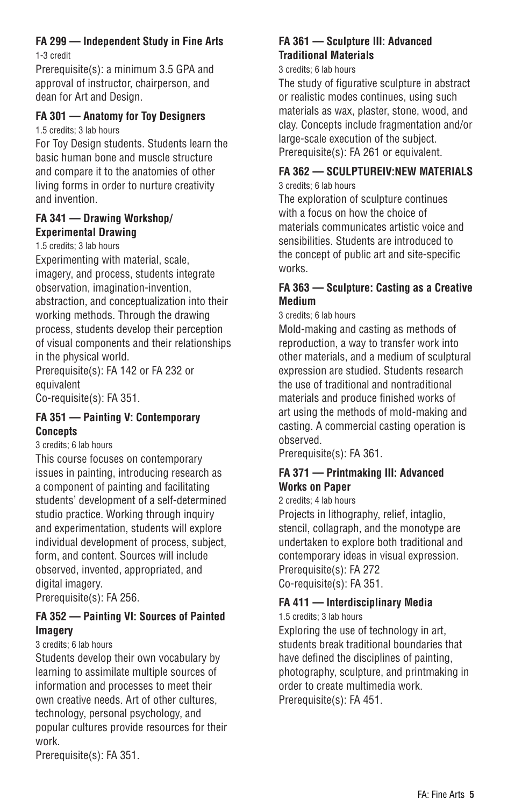### **FA 299 — Independent Study in Fine Arts**

1-3 credit

Prerequisite(s): a minimum 3.5 GPA and approval of instructor, chairperson, and dean for Art and Design.

### **FA 301 — Anatomy for Toy Designers**

1.5 credits; 3 lab hours

For Toy Design students. Students learn the basic human bone and muscle structure and compare it to the anatomies of other living forms in order to nurture creativity and invention.

#### **FA 341 — Drawing Workshop/ Experimental Drawing**

1.5 credits; 3 lab hours

Experimenting with material, scale, imagery, and process, students integrate observation, imagination-invention, abstraction, and conceptualization into their working methods. Through the drawing process, students develop their perception of visual components and their relationships in the physical world.

Prerequisite(s): FA 142 or FA 232 or equivalent

Co-requisite(s): FA 351.

### **FA 351 — Painting V: Contemporary Concepts**

3 credits; 6 lab hours

This course focuses on contemporary issues in painting, introducing research as a component of painting and facilitating students' development of a self-determined studio practice. Working through inquiry and experimentation, students will explore individual development of process, subject, form, and content. Sources will include observed, invented, appropriated, and digital imagery.

Prerequisite(s): FA 256.

### **FA 352 — Painting VI: Sources of Painted Imagery**

3 credits; 6 lab hours

Students develop their own vocabulary by learning to assimilate multiple sources of information and processes to meet their own creative needs. Art of other cultures, technology, personal psychology, and popular cultures provide resources for their work.

Prerequisite(s): FA 351.

### **FA 361 — Sculpture III: Advanced Traditional Materials**

#### 3 credits; 6 lab hours

The study of figurative sculpture in abstract or realistic modes continues, using such materials as wax, plaster, stone, wood, and clay. Concepts include fragmentation and/or large-scale execution of the subject. Prerequisite(s): FA 261 or equivalent.

### **FA 362 — SCULPTUREIV:NEW MATERIALS**

3 credits; 6 lab hours

The exploration of sculpture continues with a focus on how the choice of materials communicates artistic voice and sensibilities. Students are introduced to the concept of public art and site-specific works.

### **FA 363 — Sculpture: Casting as a Creative Medium**

3 credits; 6 lab hours

Mold-making and casting as methods of reproduction, a way to transfer work into other materials, and a medium of sculptural expression are studied. Students research the use of traditional and nontraditional materials and produce finished works of art using the methods of mold-making and casting. A commercial casting operation is observed.

Prerequisite(s): FA 361.

### **FA 371 — Printmaking III: Advanced Works on Paper**

#### 2 credits; 4 lab hours

Projects in lithography, relief, intaglio, stencil, collagraph, and the monotype are undertaken to explore both traditional and contemporary ideas in visual expression. Prerequisite(s): FA 272 Co-requisite(s): FA 351.

## **FA 411 — Interdisciplinary Media**

1.5 credits; 3 lab hours

Exploring the use of technology in art, students break traditional boundaries that have defined the disciplines of painting, photography, sculpture, and printmaking in order to create multimedia work. Prerequisite(s): FA 451.